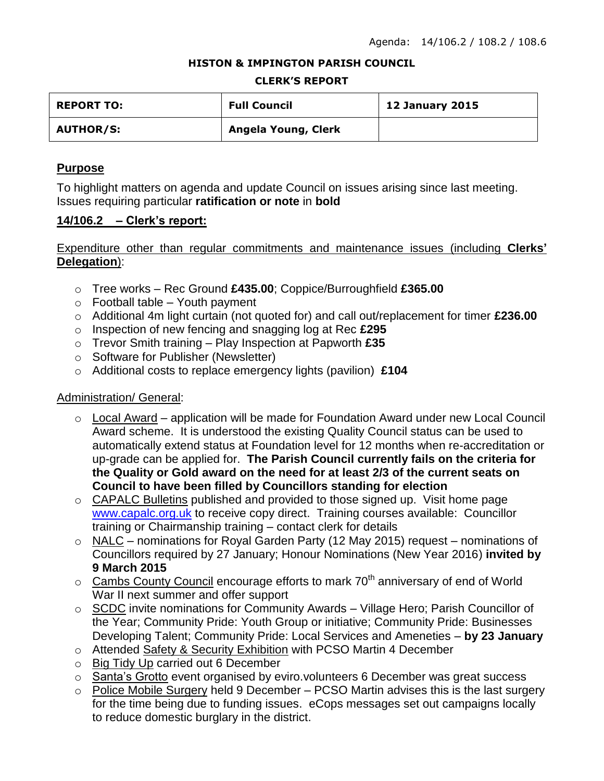#### **HISTON & IMPINGTON PARISH COUNCIL**

#### **CLERK'S REPORT**

| <b>REPORT TO:</b> | <b>Full Council</b> | <b>12 January 2015</b> |
|-------------------|---------------------|------------------------|
| <b>AUTHOR/S:</b>  | Angela Young, Clerk |                        |

#### **Purpose**

To highlight matters on agenda and update Council on issues arising since last meeting. Issues requiring particular **ratification or note** in **bold**

#### **14/106.2 – Clerk's report:**

## Expenditure other than regular commitments and maintenance issues (including **Clerks' Delegation**):

- o Tree works Rec Ground **£435.00**; Coppice/Burroughfield **£365.00**
- $\circ$  Football table Youth payment
- o Additional 4m light curtain (not quoted for) and call out/replacement for timer **£236.00**
- o Inspection of new fencing and snagging log at Rec **£295**
- o Trevor Smith training Play Inspection at Papworth **£35**
- o Software for Publisher (Newsletter)
- o Additional costs to replace emergency lights (pavilion) **£104**

## Administration/ General:

- o Local Award application will be made for Foundation Award under new Local Council Award scheme. It is understood the existing Quality Council status can be used to automatically extend status at Foundation level for 12 months when re-accreditation or up-grade can be applied for. **The Parish Council currently fails on the criteria for the Quality or Gold award on the need for at least 2/3 of the current seats on Council to have been filled by Councillors standing for election**
- o CAPALC Bulletins published and provided to those signed up. Visit home page [www.capalc.org.uk](http://www.capalc.org.uk/) to receive copy direct. Training courses available: Councillor training or Chairmanship training – contact clerk for details
- o NALC nominations for Royal Garden Party (12 May 2015) request nominations of Councillors required by 27 January; Honour Nominations (New Year 2016) **invited by 9 March 2015**
- $\circ$  Cambs County Council encourage efforts to mark 70<sup>th</sup> anniversary of end of World War II next summer and offer support
- o SCDC invite nominations for Community Awards Village Hero; Parish Councillor of the Year; Community Pride: Youth Group or initiative; Community Pride: Businesses Developing Talent; Community Pride: Local Services and Ameneties – **by 23 January**
- o Attended Safety & Security Exhibition with PCSO Martin 4 December
- o Big Tidy Up carried out 6 December
- o Santa's Grotto event organised by eviro.volunteers 6 December was great success
- $\circ$  Police Mobile Surgery held 9 December PCSO Martin advises this is the last surgery for the time being due to funding issues. eCops messages set out campaigns locally to reduce domestic burglary in the district.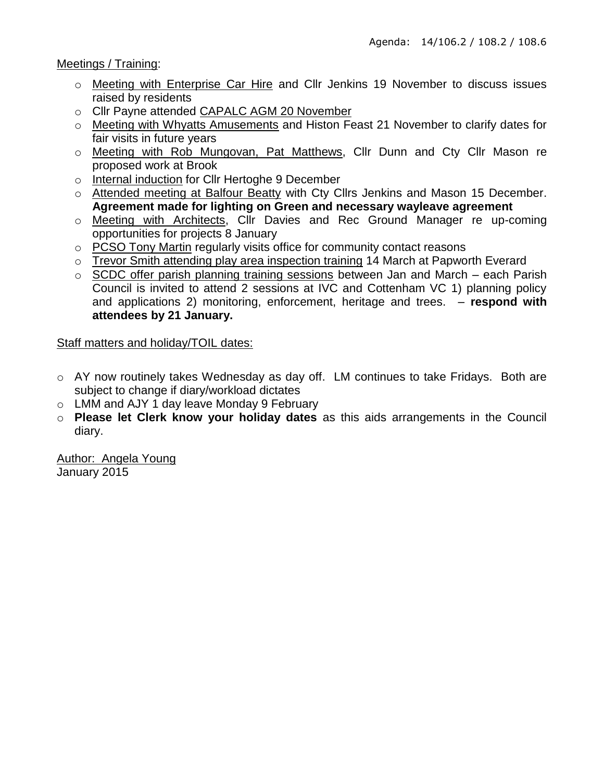Meetings / Training:

- o Meeting with Enterprise Car Hire and Cllr Jenkins 19 November to discuss issues raised by residents
- o Cllr Payne attended CAPALC AGM 20 November
- o Meeting with Whyatts Amusements and Histon Feast 21 November to clarify dates for fair visits in future years
- o Meeting with Rob Mungovan, Pat Matthews, Cllr Dunn and Cty Cllr Mason re proposed work at Brook
- o Internal induction for Cllr Hertoghe 9 December
- o Attended meeting at Balfour Beatty with Cty Cllrs Jenkins and Mason 15 December. **Agreement made for lighting on Green and necessary wayleave agreement**
- o Meeting with Architects, Cllr Davies and Rec Ground Manager re up-coming opportunities for projects 8 January
- o PCSO Tony Martin regularly visits office for community contact reasons
- o Trevor Smith attending play area inspection training 14 March at Papworth Everard
- o SCDC offer parish planning training sessions between Jan and March each Parish Council is invited to attend 2 sessions at IVC and Cottenham VC 1) planning policy and applications 2) monitoring, enforcement, heritage and trees. – **respond with attendees by 21 January.**

## Staff matters and holiday/TOIL dates:

- o AY now routinely takes Wednesday as day off. LM continues to take Fridays. Both are subject to change if diary/workload dictates
- o LMM and AJY 1 day leave Monday 9 February
- o **Please let Clerk know your holiday dates** as this aids arrangements in the Council diary.

Author: Angela Young January 2015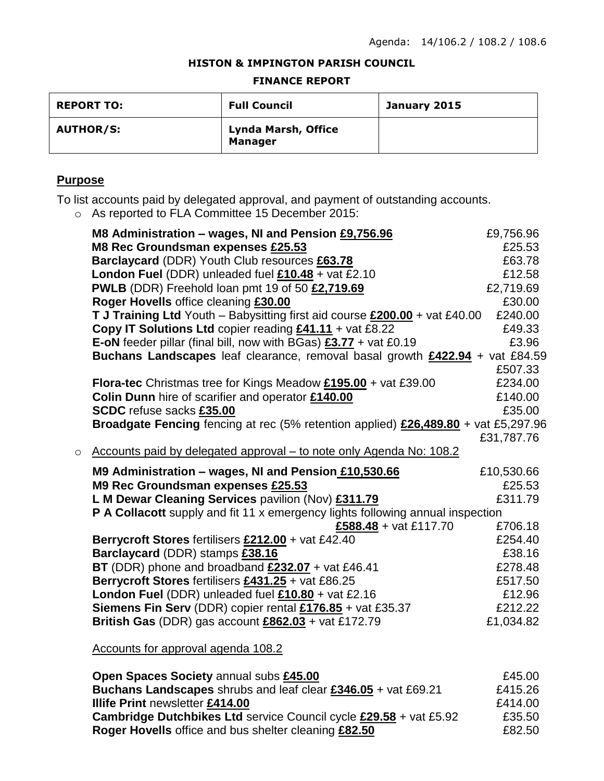#### **HISTON & IMPINGTON PARISH COUNCIL**

#### **FINANCE REPORT**

| <b>REPORT TO:</b> | <b>Full Council</b>                          | January 2015 |
|-------------------|----------------------------------------------|--------------|
| <b>AUTHOR/S:</b>  | <b>Lynda Marsh, Office</b><br><b>Manager</b> |              |

# **Purpose**

To list accounts paid by delegated approval, and payment of outstanding accounts.

o As reported to FLA Committee 15 December 2015:

|         | M8 Administration - wages, NI and Pension £9,756.96                                 | £9,756.96  |
|---------|-------------------------------------------------------------------------------------|------------|
|         | M8 Rec Groundsman expenses £25.53                                                   | £25.53     |
|         | Barclaycard (DDR) Youth Club resources £63.78                                       | £63.78     |
|         | London Fuel (DDR) unleaded fuel $£10.48 + \text{vat } £2.10$                        | £12.58     |
|         | PWLB (DDR) Freehold loan pmt 19 of 50 £2,719.69                                     | £2,719.69  |
|         | Roger Hovells office cleaning £30.00                                                | £30.00     |
|         | T J Training Ltd Youth - Babysitting first aid course £200.00 + vat £40.00          | £240.00    |
|         | Copy IT Solutions Ltd copier reading £41.11 + vat £8.22                             | £49.33     |
|         | <b>E-oN</b> feeder pillar (final bill, now with BGas) $\frac{23.77}{2}$ + vat £0.19 | £3.96      |
|         | Buchans Landscapes leaf clearance, removal basal growth £422.94 + vat £84.59        |            |
|         |                                                                                     | £507.33    |
|         | <b>Flora-tec</b> Christmas tree for Kings Meadow $£195.00 + \text{vat } £39.00$     | £234.00    |
|         | Colin Dunn hire of scarifier and operator £140.00                                   | £140.00    |
|         | SCDC refuse sacks £35.00                                                            | £35.00     |
|         | Broadgate Fencing fencing at rec (5% retention applied) £26,489.80 + vat £5,297.96  |            |
|         |                                                                                     | £31,787.76 |
| $\circ$ | Accounts paid by delegated approval - to note only Agenda No: 108.2                 |            |
|         | M9 Administration - wages, NI and Pension £10,530.66                                | £10,530.66 |
|         | M9 Rec Groundsman expenses £25.53                                                   | £25.53     |
|         | L M Dewar Cleaning Services pavilion (Nov) £311.79                                  | £311.79    |
|         | P A Collacott supply and fit 11 x emergency lights following annual inspection      |            |
|         | £588.48 + vat £117.70                                                               | £706.18    |
|         | Berrycroft Stores fertilisers £212.00 + vat £42.40                                  | £254.40    |
|         | Barclaycard (DDR) stamps £38.16                                                     | £38.16     |
|         | BT (DDR) phone and broadband £232.07 + vat £46.41                                   | £278.48    |
|         | Berrycroft Stores fertilisers £431.25 + vat £86.25                                  | £517.50    |
|         | London Fuel (DDR) unleaded fuel $£10.80 +$ vat £2.16                                | £12.96     |
|         | Siemens Fin Serv (DDR) copier rental £176.85 + vat £35.37                           | £212.22    |
|         | British Gas (DDR) gas account £862.03 + vat £172.79                                 | £1,034.82  |
|         |                                                                                     |            |
|         | Accounts for approval agenda 108.2                                                  |            |

| Open Spaces Society annual subs £45.00                                   | £45.00  |
|--------------------------------------------------------------------------|---------|
| Buchans Landscapes shrubs and leaf clear £346.05 + vat £69.21            | £415.26 |
| <b>Illife Print newsletter £414.00</b>                                   | £414.00 |
| <b>Cambridge Dutchbikes Ltd service Council cycle £29.58 + vat £5.92</b> | £35.50  |
| Roger Hovells office and bus shelter cleaning £82.50                     | £82.50  |